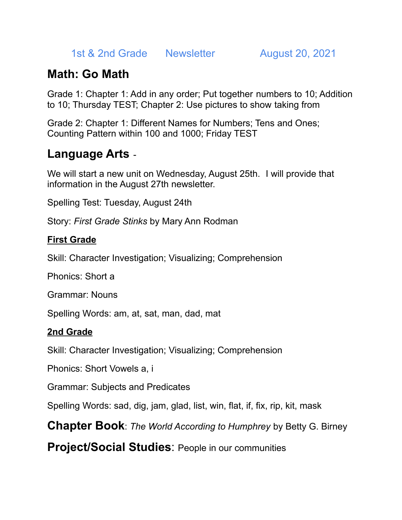1st & 2nd Grade Newsletter August 20, 2021

# **Math: Go Math**

Grade 1: Chapter 1: Add in any order; Put together numbers to 10; Addition to 10; Thursday TEST; Chapter 2: Use pictures to show taking from

Grade 2: Chapter 1: Different Names for Numbers; Tens and Ones; Counting Pattern within 100 and 1000; Friday TEST

## **Language Arts** -

We will start a new unit on Wednesday, August 25th. I will provide that information in the August 27th newsletter.

Spelling Test: Tuesday, August 24th

Story: *First Grade Stinks* by Mary Ann Rodman

### **First Grade**

Skill: Character Investigation; Visualizing; Comprehension

Phonics: Short a

Grammar: Nouns

Spelling Words: am, at, sat, man, dad, mat

### **2nd Grade**

Skill: Character Investigation; Visualizing; Comprehension

Phonics: Short Vowels a, i

Grammar: Subjects and Predicates

Spelling Words: sad, dig, jam, glad, list, win, flat, if, fix, rip, kit, mask

**Chapter Book**: *The World According to Humphrey* by Betty G. Birney

**Project/Social Studies**: People in our communities